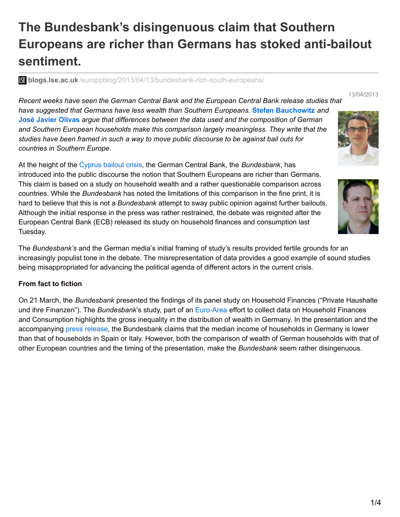# **The Bundesbank's disingenuous claim that Southern Europeans are richer than Germans has stoked anti-bailout sentiment.**

**blogs.lse.ac.uk**[/europpblog/2013/04/13/bundesbank-rich-south-europeans/](http://blogs.lse.ac.uk/europpblog/2013/04/13/bundesbank-rich-south-europeans/#Author)

*Recent weeks have seen the German Central Bank and the European Central Bank release studies that have suggested that Germans have less wealth than Southern Europeans.* **Stefan [Bauchowitz](http://wp.me/p2MmSR-3zM#Author)** *and* **José Javier [Olivas](http://wp.me/p2MmSR-3zM#Author)** *argue that differences between the data used and the composition of German and Southern European households make this comparison largely meaningless. They write that the studies have been framed in such a way to move public discourse to be against bail outs for countries in Southern Europe.*

At the height of the [Cyprus](http://blogs.lse.ac.uk/eurocrisispress/category/cyprus/) bailout crisis, the German Central Bank, the *Bundesbank*, has introduced into the public discourse the notion that Southern Europeans are richer than Germans. This claim is based on a study on household wealth and a rather questionable comparison across countries. While the *Bundesbank* has noted the limitations of this comparison in the fine print, it is hard to believe that this is not a *Bundesbank* attempt to sway public opinion against further bailouts. Although the initial response in the press was rather restrained, the debate was reignited after the European Central Bank (ECB) released its study on household finances and consumption last Tuesday.

The *Bundesbank's* and the German media's initial framing of study's results provided fertile grounds for an increasingly populist tone in the debate. The misrepresentation of data provides a good example of sound studies being misappropriated for advancing the political agenda of different actors in the current crisis.

#### **From fact to fiction**

On 21 March, the *Bundesbank* presented the findings of its panel study on Household Finances ("Private Haushalte und ihre Finanzen"). The *Bundesbank*'s study, part of an [Euro-Area](http://www.ecb.europa.eu/home/html/researcher_hfcn.en.html) effort to collect data on Household Finances and Consumption highlights the gross inequality in the distribution of wealth in Germany. In the presentation and the accompanying press [release](http://www.bundesbank.de/Redaktion/DE/Kurzmeldungen/Fokusthemen/2013_03_21_phf.html), the Bundesbank claims that the median income of households in Germany is lower than that of households in Spain or Italy. However, both the comparison of wealth of German households with that of other European countries and the timing of the presentation, make the *Bundesbank* seem rather disingenuous.



13/04/2013

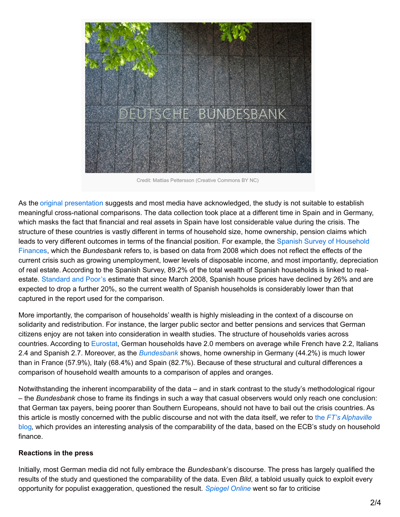

Credit: Mattias Pettersson (Creative Commons BY NC)

As the original [presentation](http://www.bundesbank.de/Redaktion/DE/Downloads/Presse/Publikationen/2013_03_21_phf_praesentation.pdf?__blob=publicationFile) suggests and most media have acknowledged, the study is not suitable to establish meaningful cross-national comparisons. The data collection took place at a different time in Spain and in Germany, which masks the fact that financial and real assets in Spain have lost considerable value during the crisis. The structure of these countries is vastly different in terms of household size, home ownership, pension claims which leads to very different outcomes in terms of the financial position. For example, the Spanish Survey of Household Finances, which the *[Bundesbank](http://www.bde.es/f/webbde/SES/Secciones/Publicaciones/InformesBoletinesRevistas/BoletinEconomico/11/Jul/Files/art3e.pdf)* refers to, is based on data from 2008 which does not reflect the effects of the current crisis such as growing unemployment, lower levels of disposable income, and most importantly, depreciation of real estate. According to the Spanish Survey, 89.2% of the total wealth of Spanish households is linked to realestate. [Standard](http://www.standardandpoors.com/spf/upload/Ratings_EMEA/2013-01-17_EuropesRecessionIsStillDraggingDownHousePrices.pdf) and Poor's estimate that since March 2008, Spanish house prices have declined by 26% and are expected to drop a further 20%, so the current wealth of Spanish households is considerably lower than that captured in the report used for the comparison.

More importantly, the comparison of households' wealth is highly misleading in the context of a discourse on solidarity and redistribution. For instance, the larger public sector and better pensions and services that German citizens enjoy are not taken into consideration in wealth studies. The structure of households varies across countries. According to [Eurostat](http://appsso.eurostat.ec.europa.eu/nui/show.do?dataset=ilc_lvph01&lang=en), German households have 2.0 members on average while French have 2.2, Italians 2.4 and Spanish 2.7. Moreover, as the *[Bundesbank](http://www.bundesbank.de/Redaktion/EN/Pressemitteilungen/BBK/2013/2013_03_21_phf.html)* shows, home ownership in Germany (44.2%) is much lower than in France (57.9%), Italy (68.4%) and Spain (82.7%). Because of these structural and cultural differences a comparison of household wealth amounts to a comparison of apples and oranges.

Notwithstanding the inherent incomparability of the data – and in stark contrast to the study's methodological rigour – the *Bundesbank* chose to frame its findings in such a way that casual observers would only reach one conclusion: that German tax payers, being poorer than Southern Europeans, should not have to bail out the crisis countries. As this article is mostly concerned with the public discourse and not with the data itself, we refer to the *FT's Alphaville* blog, which provides an interesting analysis of the [comparability](http://ftalphaville.ft.com/2013/04/10/1454022/whos-the-eurozones-poorest-really/) of the data, based on the ECB's study on household finance.

#### **Reactions in the press**

Initially, most German media did not fully embrace the *Bundesbank*'s discourse. The press has largely qualified the results of the study and questioned the comparability of the data. Even *Bild*, a tabloid usually quick to exploit every opportunity for populist exaggeration, questioned the result. *[Spiegel](http://www.spiegel.de/politik/deutschland/faktencheck-zur-bundesbank-studie-private-haushalte-und-ihre-finanzen-a-890877.html) Online* went so far to criticise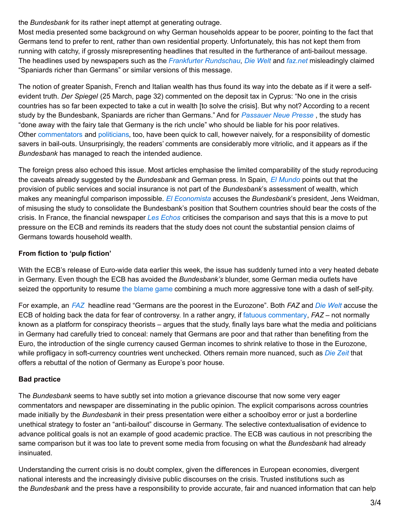the *Bundesbank* for its rather inept attempt at generating outrage.

Most media presented some background on why German households appear to be poorer, pointing to the fact that Germans tend to prefer to rent, rather than own residential property. Unfortunately, this has not kept them from running with catchy, if grossly misrepresenting headlines that resulted in the furtherance of anti-bailout message. The headlines used by newspapers such as the *Frankfurter [Rundschau](http://www.fr-online.de/wirtschaft/vermoegen-in-europa-spanier-reicher-als-deutsche,1472780,22178650.html)*, *Die [Welt](http://www.welt.de/wirtschaft/article114649182/Italiener-und-Spanier-sind-reicher-als-Deutsche.html)* and *[faz.net](http://www.faz.net/aktuell/wirtschaft/wirtschaftspolitik/armut-und-reichtum/vermoegensverteilung-spanier-ein-drittel-reicher-als-deutsche-12121631.html)* misleadingly claimed "Spaniards richer than Germans" or similar versions of this message.

The notion of greater Spanish, French and Italian wealth has thus found its way into the debate as if it were a selfevident truth. *Der Spiegel* (25 March, page 32) commented on the deposit tax in Cyprus: "No one in the crisis countries has so far been expected to take a cut in wealth [to solve the crisis]. But why not? According to a recent study by the Bundesbank, Spaniards are richer than Germans." And for *[Passauer](http://www.pnp.de/nachrichten/heute_in_ihrer_tageszeitung/politik/698914_Boeser-reicher-Onkel.html) Neue Presse* , the study has "done away with the fairy tale that Germany is the rich uncle" who should be liable for his poor relatives. Other [commentators](http://www.sueddeutsche.de/wirtschaft/euro-krise-nehmt-von-den-reichen-1.1631920) and [politicians](http://www.tagesspiegel.de/politik/krisenstaaten-spd-und-fdp-politiker-fordern-staerkere-beteiligung-privater-glaeubiger/7975414.html), too, have been quick to call, however naively, for a responsibility of domestic savers in bail-outs. Unsurprisingly, the readers' comments are considerably more vitriolic, and it appears as if the *Bundesbank* has managed to reach the intended audience.

The foreign press also echoed this issue. Most articles emphasise the limited comparability of the study reproducing the caveats already suggested by the *Bundesbank* and German press. In Spain, *El [Mundo](http://www.elmundo.es/elmundo/2013/03/22/economia/1363953835.html)* points out that the provision of public services and social insurance is not part of the *Bundesbank*'s assessment of wealth, which makes any meaningful comparison impossible. *El [Economista](http://www.eleconomista.mobi/economia/noticias/4695717/03/13/El-Bundesbank-da-a-entender-que-los-espanoles-son-mucho-mas-ricos-que-los-alemanes.html)* accuses the *Bundesbank*'s president, Jens Weidman, of misusing the study to consolidate the Bundesbank's position that Southern countries should bear the costs of the crisis. In France, the financial newspaper *Les [Echos](http://www.lesechos.fr/economie-politique/monde/actu/0202659625566-les-menages-francais-plus-riches-que-les-foyers-allemands-552097.php)* criticises the comparison and says that this is a move to put pressure on the ECB and reminds its readers that the study does not count the substantial pension claims of Germans towards household wealth.

# **From fiction to 'pulp fiction'**

With the ECB's release of Euro-wide data earlier this week, the issue has suddenly turned into a very heated debate in Germany. Even though the ECB has avoided the *Bundesbank's* blunder, some German media outlets have seized the opportunity to resume the [blame](http://blogs.lse.ac.uk/eurocrisispress/2013/03/22/the-politics-of-blame/) game combining a much more aggressive tone with a dash of self-pity.

For example, an *[FAZ](http://www.faz.net/aktuell/wirtschaft/ezb-umfrage-deutsche-sind-die-aermsten-im-euroraum-12142944.html)* headline read "Germans are the poorest in the Eurozone". Both *FAZ* and *Die [Welt](http://www.welt.de/wirtschaft/article115143342/Deutsche-belegen-beim-Vermoegen-den-letzten-Platz.html)* accuse the ECB of holding back the data for fear of controversy. In a rather angry, if fatuous [commentary](http://www.faz.net/aktuell/wirtschaft/vermoegen-reiche-zyprer-arme-deutsche-12144211.html), *FAZ* – not normally known as a platform for conspiracy theorists – argues that the study, finally lays bare what the media and politicians in Germany had carefully tried to conceal: namely that Germans are poor and that rather than benefiting from the Euro, the introduction of the single currency caused German incomes to shrink relative to those in the Eurozone, while profligacy in soft-currency countries went unchecked. Others remain more nuanced, such as *Die [Zeit](http://blog.zeit.de/herdentrieb/2013/04/10/5886_5886)* that offers a rebuttal of the notion of Germany as Europe's poor house.

# **Bad practice**

The *Bundesbank* seems to have subtly set into motion a grievance discourse that now some very eager commentators and newspaper are disseminating in the public opinion. The explicit comparisons across countries made initially by the *Bundesbank* in their press presentation were either a schoolboy error or just a borderline unethical strategy to foster an "anti-bailout" discourse in Germany. The selective contextualisation of evidence to advance political goals is not an example of good academic practice. The ECB was cautious in not prescribing the same comparison but it was too late to prevent some media from focusing on what the *Bundesbank* had already insinuated.

Understanding the current crisis is no doubt complex, given the differences in European economies, divergent national interests and the increasingly divisive public discourses on the crisis. Trusted institutions such as the *Bundesbank* and the press have a responsibility to provide accurate, fair and nuanced information that can help